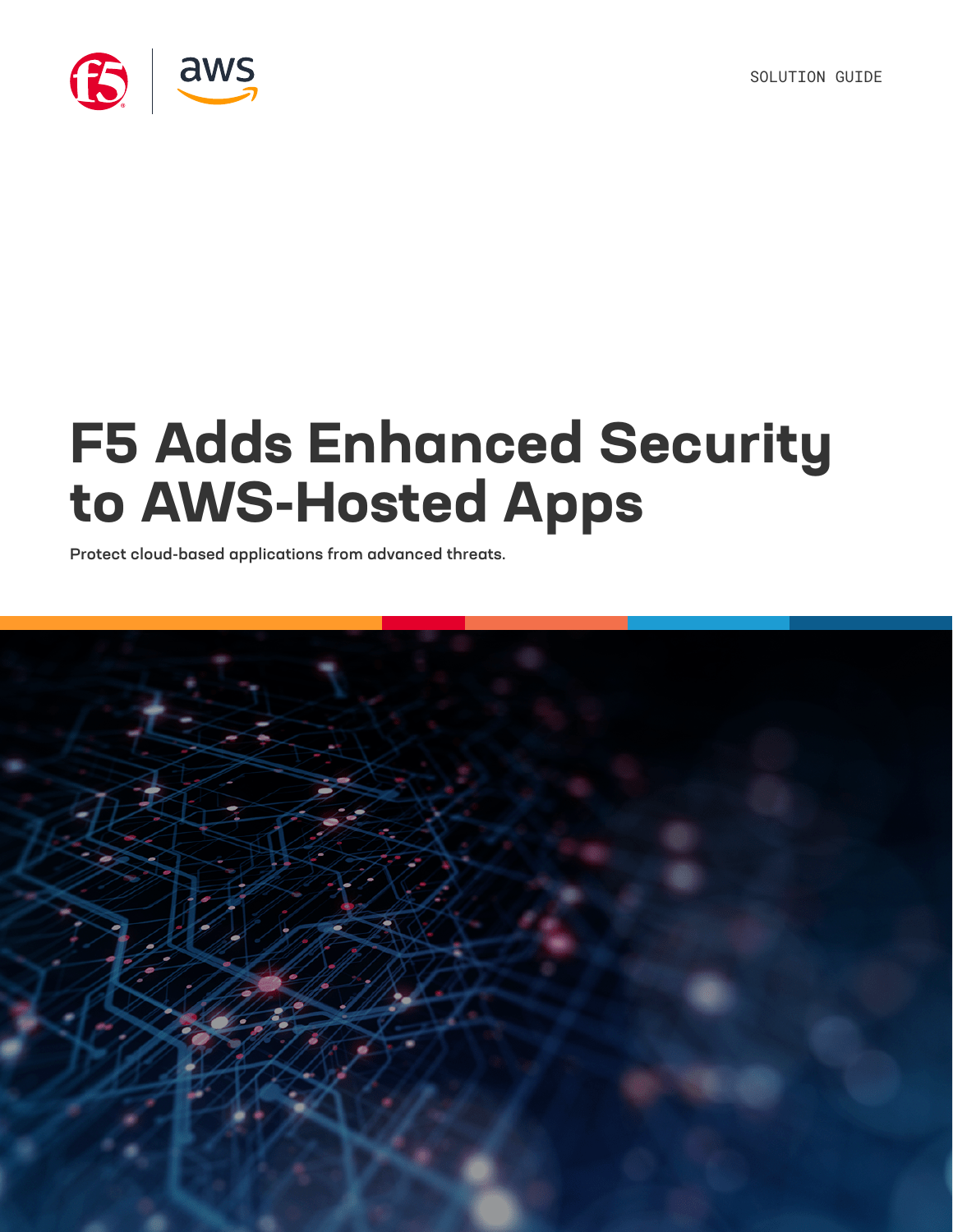SOLUTION GUIDE



# **F5 Adds Enhanced Security to AWS-Hosted Apps**

Protect cloud-based applications from advanced threats.

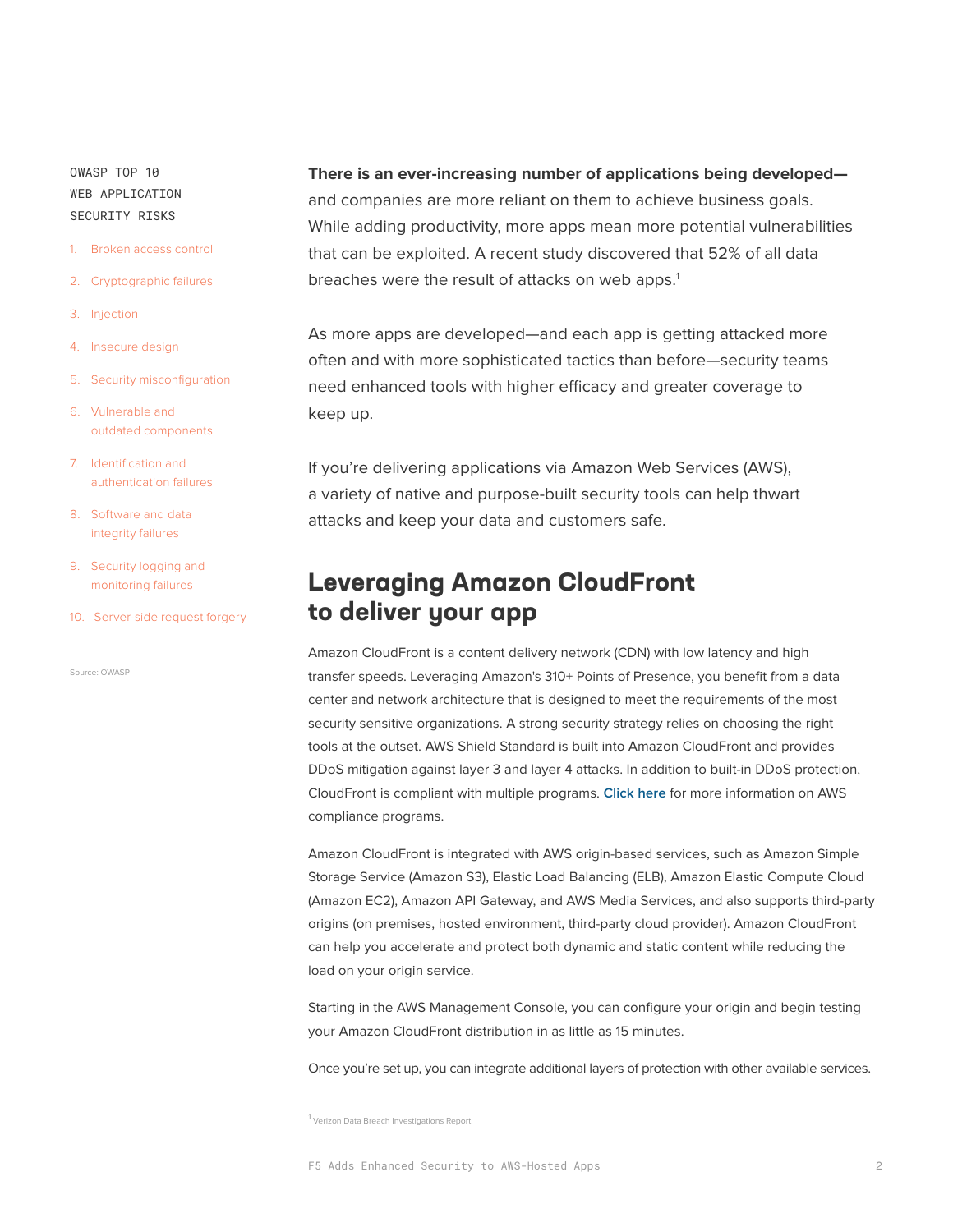OWASP TOP 10 WEB APPLICATION SECURITY RISKS

- 1. Broken access control
- 2. Cryptographic failures
- 3. Injection
- 4. Insecure design
- 5. Security misconfiguration
- 6. Vulnerable and outdated components
- 7. Identification and authentication failures
- 8. Software and data integrity failures
- 9. Security logging and monitoring failures
- 10. Server-side request forgery

Source: [OWASP](https://owasp.org/www-project-top-ten/)

#### **There is an ever-increasing number of applications being developed—**

and companies are more reliant on them to achieve business goals. While adding productivity, more apps mean more potential vulnerabilities that can be exploited. A recent study discovered that 52% of all data breaches were the result of attacks on web apps.<sup>1</sup>

As more apps are developed—and each app is getting attacked more often and with more sophisticated tactics than before—security teams need enhanced tools with higher efficacy and greater coverage to keep up.

If you're delivering applications via Amazon Web Services (AWS), a variety of native and purpose-built security tools can help thwart attacks and keep your data and customers safe.

# **Leveraging Amazon CloudFront to deliver your app**

Amazon CloudFront is a content delivery network (CDN) with low latency and high transfer speeds. Leveraging Amazon's 310+ Points of Presence, you benefit from a data center and network architecture that is designed to meet the requirements of the most security sensitive organizations. A strong security strategy relies on choosing the right tools at the outset. AWS Shield Standard is built into Amazon CloudFront and provides DDoS mitigation against layer 3 and layer 4 attacks. In addition to built-in DDoS protection, CloudFront is compliant with multiple programs. **[Click here](https://aws.amazon.com/compliance/services-in-scope/)** for more information on AWS compliance programs.

Amazon CloudFront is integrated with AWS origin-based services, such as Amazon Simple Storage Service (Amazon S3), Elastic Load Balancing (ELB), Amazon Elastic Compute Cloud (Amazon EC2), Amazon API Gateway, and AWS Media Services, and also supports third-party origins (on premises, hosted environment, third-party cloud provider). Amazon CloudFront can help you accelerate and protect both dynamic and static content while reducing the load on your origin service.

Starting in the AWS Management Console, you can configure your origin and begin testing your Amazon CloudFront distribution in as little as 15 minutes.

Once you're set up, you can integrate additional layers of protection with other available services.

<sup>1</sup> [Verizon Data Breach Investigations Report](https://www.verizon.com/business/resources/reports/dbir/2021/results-and-analysis/)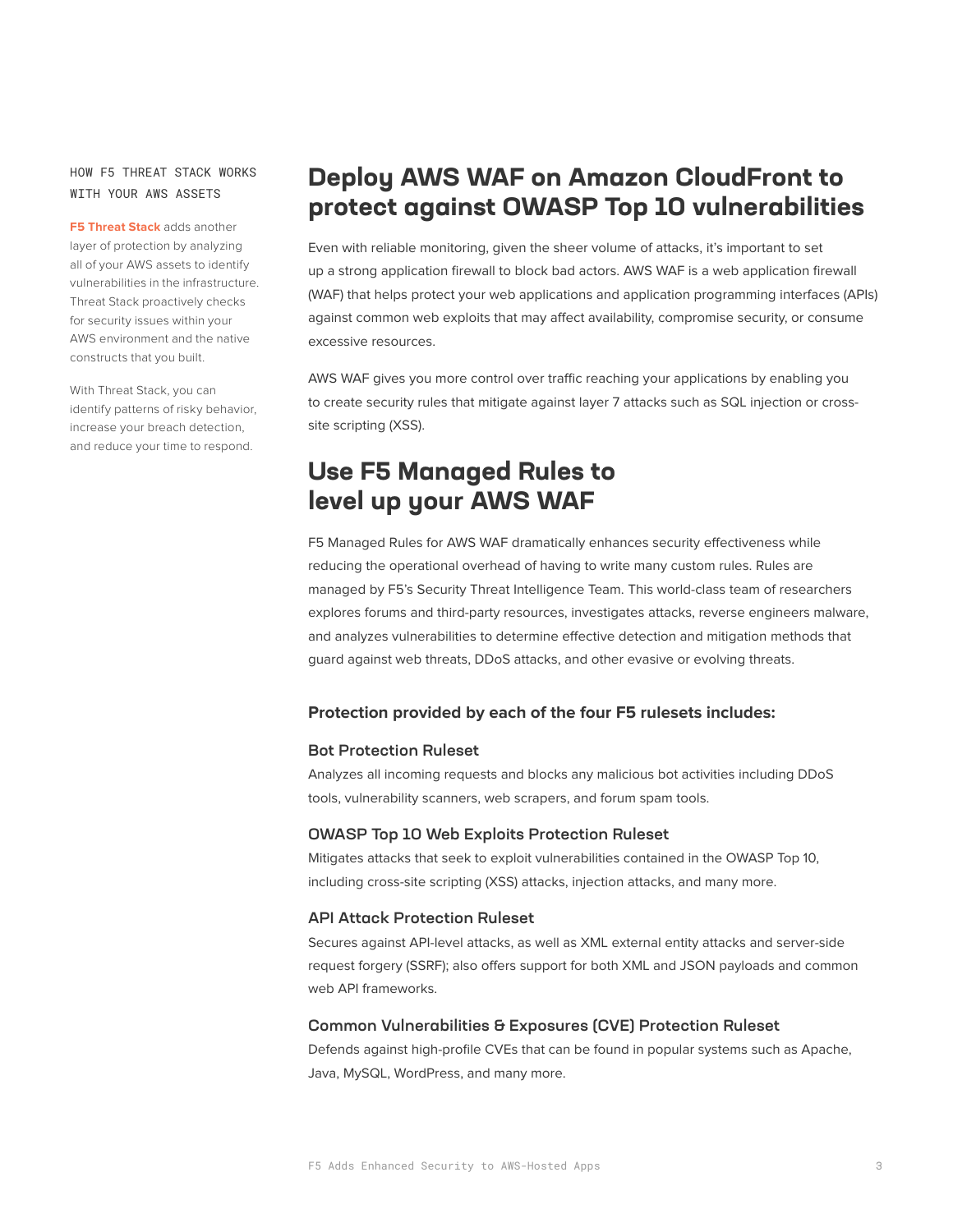## HOW F5 THREAT STACK WORKS WITH YOUR AWS ASSETS

**F5 Threat Stack** adds another layer of protection by analyzing all of your AWS assets to identify vulnerabilities in the infrastructure. Threat Stack proactively checks for security issues within your AWS environment and the native constructs that you built.

With Threat Stack, you can identify patterns of risky behavior, increase your breach detection, and reduce your time to respond.

# **Deploy AWS WAF on Amazon CloudFront to protect against OWASP Top 10 vulnerabilities**

Even with reliable monitoring, given the sheer volume of attacks, it's important to set up a strong application firewall to block bad actors. AWS WAF is a web application firewall (WAF) that helps protect your web applications and application programming interfaces (APIs) against common web exploits that may affect availability, compromise security, or consume excessive resources.

AWS WAF gives you more control over traffic reaching your applications by enabling you to create security rules that mitigate against layer 7 attacks such as SQL injection or crosssite scripting (XSS).

## **Use F5 Managed Rules to level up your AWS WAF**

F5 Managed Rules for AWS WAF dramatically enhances security effectiveness while reducing the operational overhead of having to write many custom rules. Rules are managed by F5's Security Threat Intelligence Team. This world-class team of researchers explores forums and third-party resources, investigates attacks, reverse engineers malware, and analyzes vulnerabilities to determine effective detection and mitigation methods that guard against web threats, DDoS attacks, and other evasive or evolving threats.

## **Protection provided by each of the four F5 rulesets includes:**

#### Bot Protection Ruleset

Analyzes all incoming requests and blocks any malicious bot activities including DDoS tools, vulnerability scanners, web scrapers, and forum spam tools.

## OWASP Top 10 Web Exploits Protection Ruleset

Mitigates attacks that seek to exploit vulnerabilities contained in the OWASP Top 10, including cross-site scripting (XSS) attacks, injection attacks, and many more.

## API Attack Protection Ruleset

Secures against API-level attacks, as well as XML external entity attacks and server-side request forgery (SSRF); also offers support for both XML and JSON payloads and common web API frameworks.

#### Common Vulnerabilities & Exposures (CVE) Protection Ruleset

Defends against high-profile CVEs that can be found in popular systems such as Apache, Java, MySQL, WordPress, and many more.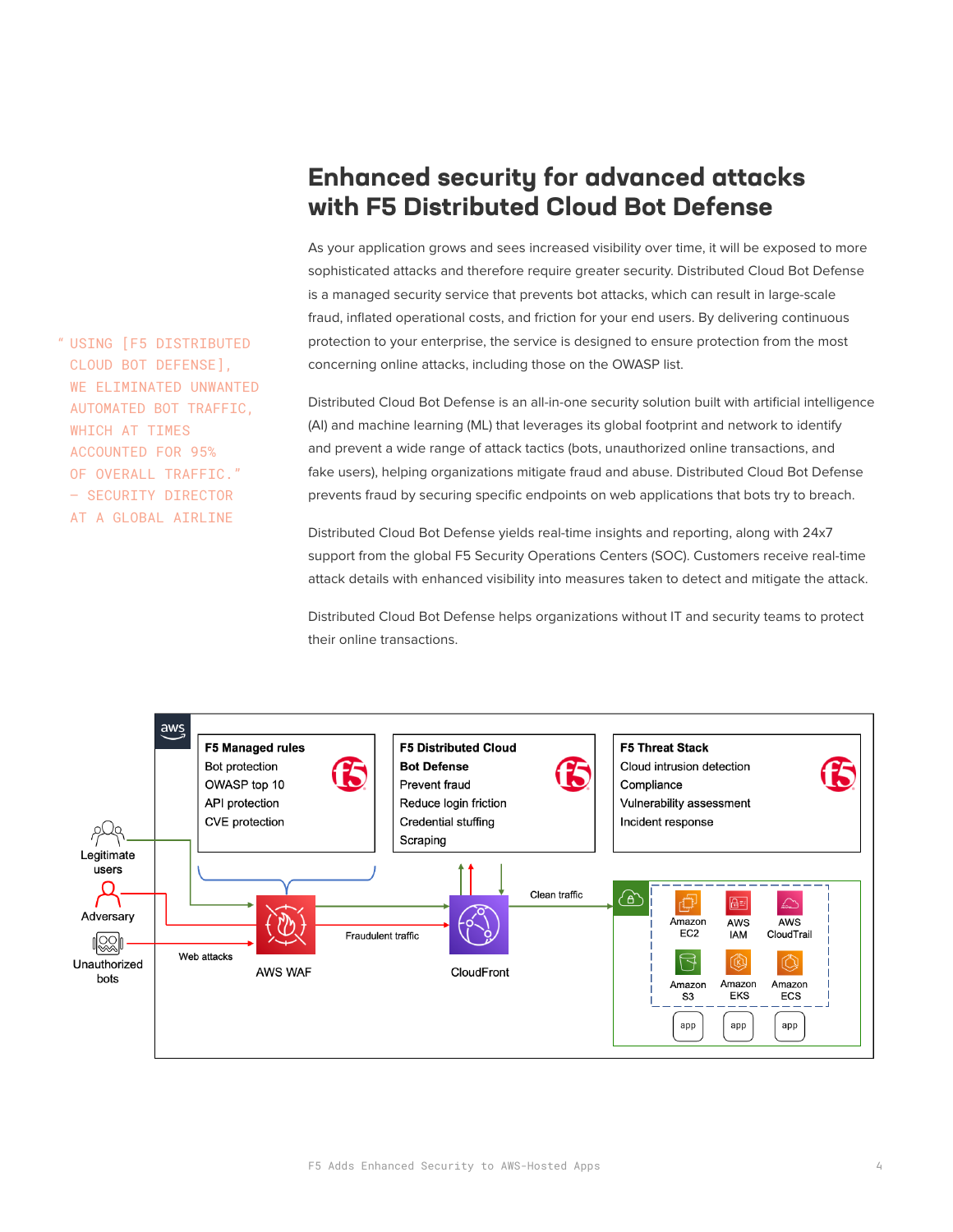# **Enhanced security for advanced attacks with F5 Distributed Cloud Bot Defense**

As your application grows and sees increased visibility over time, it will be exposed to more sophisticated attacks and therefore require greater security. Distributed Cloud Bot Defense is a managed security service that prevents bot attacks, which can result in large-scale fraud, inflated operational costs, and friction for your end users. By delivering continuous protection to your enterprise, the service is designed to ensure protection from the most concerning online attacks, including those on the OWASP list.

Distributed Cloud Bot Defense is an all-in-one security solution built with artificial intelligence (AI) and machine learning (ML) that leverages its global footprint and network to identify and prevent a wide range of attack tactics (bots, unauthorized online transactions, and fake users), helping organizations mitigate fraud and abuse. Distributed Cloud Bot Defense prevents fraud by securing specific endpoints on web applications that bots try to breach.

Distributed Cloud Bot Defense yields real-time insights and reporting, along with 24x7 support from the global F5 Security Operations Centers (SOC). Customers receive real-time attack details with enhanced visibility into measures taken to detect and mitigate the attack.

Distributed Cloud Bot Defense helps organizations without IT and security teams to protect their online transactions.



USING [F5 DISTRIBUTED "CLOUD BOT DEFENSE], WE ELIMINATED UNWANTED AUTOMATED BOT TRAFFIC, WHICH AT TIMES ACCOUNTED FOR 95% OF OVERALL TRAFFIC." — SECURITY DIRECTOR AT A GLOBAL AIRLINE